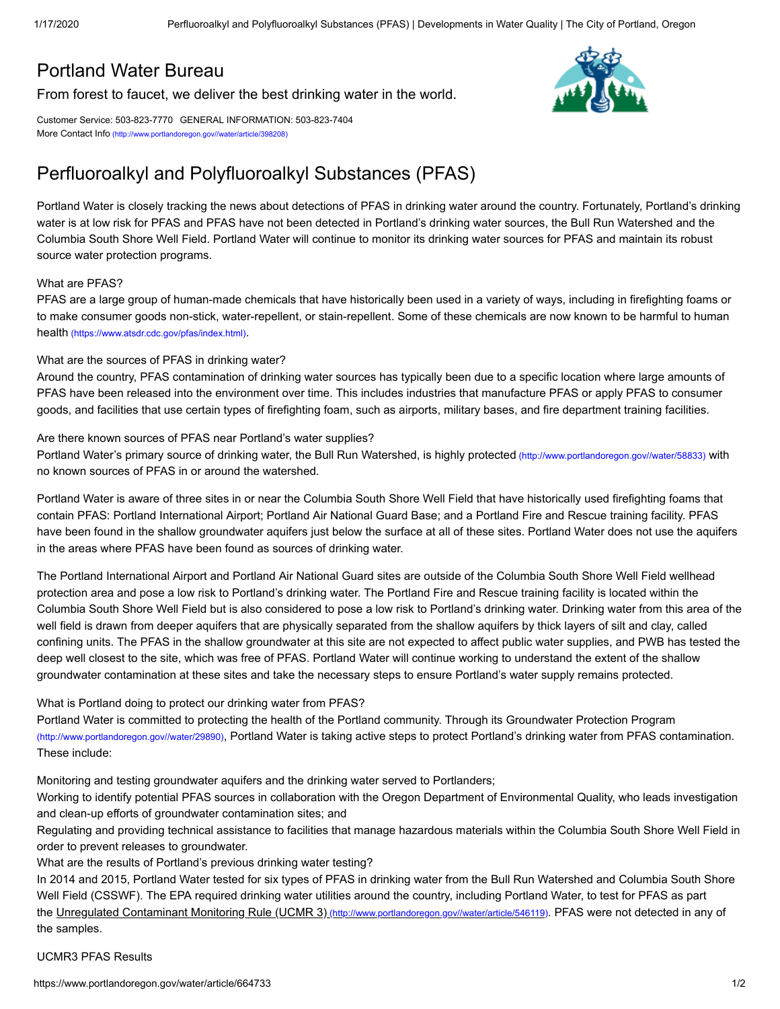## [Portland](https://www.portlandoregon.gov/water/) Water Bureau

[From forest to faucet, we deliver the best drinking water in the world.](https://www.portlandoregon.gov/water/)

Customer Service: 503-823-7770 GENERAL INFORMATION: 503-823-7404 More Contact Info [\(http://www.portlandoregon.gov//water/article/398208\)](https://www.portlandoregon.gov/water/article/398208)

# Perfluoroalkyl and Polyfluoroalkyl Substances (PFAS)

Portland Water is closely tracking the news about detections of PFAS in drinking water around the country. Fortunately, Portland's drinking water is at low risk for PFAS and PFAS have not been detected in Portland's drinking water sources, the Bull Run Watershed and the Columbia South Shore Well Field. Portland Water will continue to monitor its drinking water sources for PFAS and maintain its robust source water protection programs.

#### What are PFAS?

PFAS are a large group of human-made chemicals that have historically been used in a variety of ways, including in firefighting foams or to make consumer goods non-stick, water-repellent, or stain-repellent. Some of these chemicals are now known to be harmful to human health [\(https://www.atsdr.cdc.gov/pfas/index.html\)](https://www.atsdr.cdc.gov/pfas/index.html).

#### What are the sources of PFAS in drinking water?

Around the country, PFAS contamination of drinking water sources has typically been due to a specific location where large amounts of PFAS have been released into the environment over time. This includes industries that manufacture PFAS or apply PFAS to consumer goods, and facilities that use certain types of firefighting foam, such as airports, military bases, and fire department training facilities.

#### Are there known sources of PFAS near Portland's water supplies?

Portland Water's primary source of drinking water, the Bull Run Watershed, is highly protected [\(http://www.portlandoregon.gov//water/58833\)](https://www.portlandoregon.gov/water/58833) with no known sources of PFAS in or around the watershed.

Portland Water is aware of three sites in or near the Columbia South Shore Well Field that have historically used firefighting foams that contain PFAS: Portland International Airport; Portland Air National Guard Base; and a Portland Fire and Rescue training facility. PFAS have been found in the shallow groundwater aquifers just below the surface at all of these sites. Portland Water does not use the aquifers in the areas where PFAS have been found as sources of drinking water.

The Portland International Airport and Portland Air National Guard sites are outside of the Columbia South Shore Well Field wellhead protection area and pose a low risk to Portland's drinking water. The Portland Fire and Rescue training facility is located within the Columbia South Shore Well Field but is also considered to pose a low risk to Portland's drinking water. Drinking water from this area of the well field is drawn from deeper aquifers that are physically separated from the shallow aquifers by thick layers of silt and clay, called confining units. The PFAS in the shallow groundwater at this site are not expected to affect public water supplies, and PWB has tested the deep well closest to the site, which was free of PFAS. Portland Water will continue working to understand the extent of the shallow groundwater contamination at these sites and take the necessary steps to ensure Portland's water supply remains protected.

#### What is Portland doing to protect our drinking water from PFAS?

Portland Water is committed to protecting the health of the Portland community. Through its Groundwater Protection Program [\(http://www.portlandoregon.gov//water/29890\)](https://www.portlandoregon.gov/water/29890), Portland Water is taking active steps to protect Portland's drinking water from PFAS contamination. These include:

Monitoring and testing groundwater aquifers and the drinking water served to Portlanders;

Working to identify potential PFAS sources in collaboration with the Oregon Department of Environmental Quality, who leads investigation and clean-up efforts of groundwater contamination sites; and

Regulating and providing technical assistance to facilities that manage hazardous materials within the Columbia South Shore Well Field in order to prevent releases to groundwater.

What are the results of Portland's previous drinking water testing?

In 2014 and 2015, Portland Water tested for six types of PFAS in drinking water from the Bull Run Watershed and Columbia South Shore Well Field (CSSWF). The EPA required drinking water utilities around the country, including Portland Water, to test for PFAS as part the Unregulated Contaminant Monitoring Rule (UCMR 3) [\(http://www.portlandoregon.gov//water/article/546119\)](https://www.portlandoregon.gov/water/article/546119). PFAS were not detected in any of the samples.

### UCMR3 PFAS Results